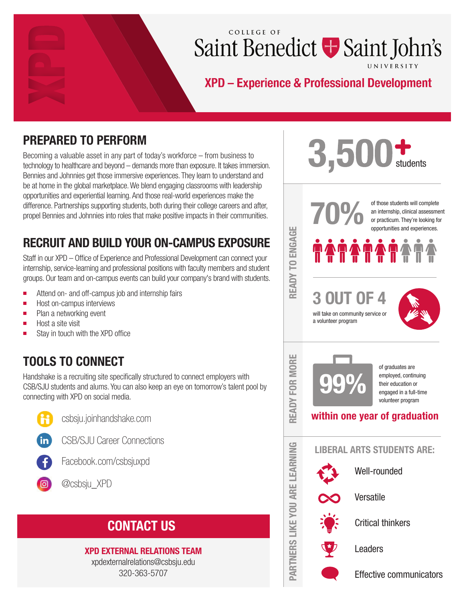# COLLEGE OF Saint Benedict + Saint John's

# XPD - Experience & Professional Development

# PREPARED TO PERFORM

Becoming a valuable asset in any part of today's workforce – from business to technology to healthcare and beyond – demands more than exposure. It takes immersion. Bennies and Johnnies get those immersive experiences. They learn to understand and be at home in the global marketplace. We blend engaging classrooms with leadership opportunities and experiential learning. And those real-world experiences make the difference. Partnerships supporting students, both during their college careers and after, propel Bennies and Johnnies into roles that make positive impacts in their communities.

# RECRUIT AND BUILD YOUR ON-CAMPUS EXPOSURE

Staff in our XPD – Office of Experience and Professional Development can connect your internship, service-learning and professional positions with faculty members and student groups. Our team and on-campus events can build your company's brand with students.

- $\blacksquare$ Attend on- and off-campus job and internship fairs
- П Host on-campus interviews
- Plan a networking event  $\blacksquare$
- $\blacksquare$ Host a site visit
- r. Stay in touch with the XPD office

# TOOLS TO CONNECT

Handshake is a recruiting site specifically structured to connect employers with CSB/SJU students and alums. You can also keep an eye on tomorrow's talent pool by connecting with XPD on social media.



csbsju.joinhandshake.com



CSB/SJU Career Connections



Facebook.com/csbsjuxpd



# CONTACT US

## XPD EXTERNAL RELATIONS TEAM

xpdexternalrelations@csbsju.edu 320-363-5707

# $3,500$  students

READY TO ENGAGE

READY TO ENGAGE

READY FOR MORE

NU REAI

G

FOR I

ш **MORI** 

PARTNERS LIKE YOU ARE LEARNING

PARTNERS LIKE

**YOU ARE LEARNIN** 

of those students will complete<br>an internship, clinical assessme<br>or practicum. They're looking for<br>opportunities and experiences. an internship, clinical assessment or practicum. They're looking for opportunities and experiences.



3 OUT OF 4 will take on community service or a volunteer program



of graduates are employed, continuing their education or engaged in a full-time volunteer program

## within one year of graduation



Well-rounded



Versatile



Critical thinkers



Leaders